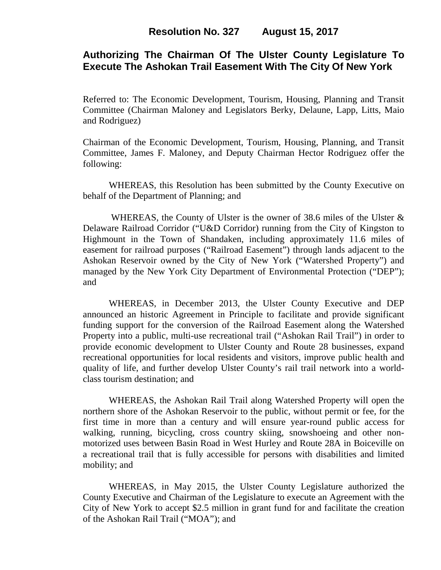# **Authorizing The Chairman Of The Ulster County Legislature To Execute The Ashokan Trail Easement With The City Of New York**

Referred to: The Economic Development, Tourism, Housing, Planning and Transit Committee (Chairman Maloney and Legislators Berky, Delaune, Lapp, Litts, Maio and Rodriguez)

Chairman of the Economic Development, Tourism, Housing, Planning, and Transit Committee, James F. Maloney, and Deputy Chairman Hector Rodriguez offer the following:

WHEREAS, this Resolution has been submitted by the County Executive on behalf of the Department of Planning; and

WHEREAS, the County of Ulster is the owner of 38.6 miles of the Ulster  $\&$ Delaware Railroad Corridor ("U&D Corridor) running from the City of Kingston to Highmount in the Town of Shandaken, including approximately 11.6 miles of easement for railroad purposes ("Railroad Easement") through lands adjacent to the Ashokan Reservoir owned by the City of New York ("Watershed Property") and managed by the New York City Department of Environmental Protection ("DEP"); and

WHEREAS, in December 2013, the Ulster County Executive and DEP announced an historic Agreement in Principle to facilitate and provide significant funding support for the conversion of the Railroad Easement along the Watershed Property into a public, multi-use recreational trail ("Ashokan Rail Trail") in order to provide economic development to Ulster County and Route 28 businesses, expand recreational opportunities for local residents and visitors, improve public health and quality of life, and further develop Ulster County's rail trail network into a worldclass tourism destination; and

WHEREAS, the Ashokan Rail Trail along Watershed Property will open the northern shore of the Ashokan Reservoir to the public, without permit or fee, for the first time in more than a century and will ensure year-round public access for walking, running, bicycling, cross country skiing, snowshoeing and other nonmotorized uses between Basin Road in West Hurley and Route 28A in Boiceville on a recreational trail that is fully accessible for persons with disabilities and limited mobility; and

WHEREAS, in May 2015, the Ulster County Legislature authorized the County Executive and Chairman of the Legislature to execute an Agreement with the City of New York to accept \$2.5 million in grant fund for and facilitate the creation of the Ashokan Rail Trail ("MOA"); and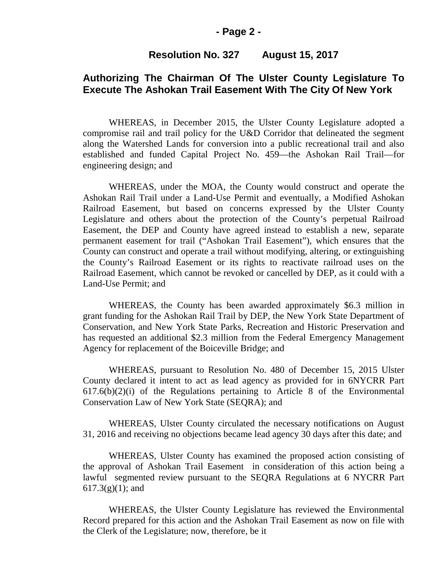### **- Page 2 -**

### **Resolution No. 327 August 15, 2017**

# **Authorizing The Chairman Of The Ulster County Legislature To Execute The Ashokan Trail Easement With The City Of New York**

WHEREAS, in December 2015, the Ulster County Legislature adopted a compromise rail and trail policy for the U&D Corridor that delineated the segment along the Watershed Lands for conversion into a public recreational trail and also established and funded Capital Project No. 459—the Ashokan Rail Trail—for engineering design; and

WHEREAS, under the MOA, the County would construct and operate the Ashokan Rail Trail under a Land-Use Permit and eventually, a Modified Ashokan Railroad Easement, but based on concerns expressed by the Ulster County Legislature and others about the protection of the County's perpetual Railroad Easement, the DEP and County have agreed instead to establish a new, separate permanent easement for trail ("Ashokan Trail Easement"), which ensures that the County can construct and operate a trail without modifying, altering, or extinguishing the County's Railroad Easement or its rights to reactivate railroad uses on the Railroad Easement, which cannot be revoked or cancelled by DEP, as it could with a Land-Use Permit; and

WHEREAS, the County has been awarded approximately \$6.3 million in grant funding for the Ashokan Rail Trail by DEP, the New York State Department of Conservation, and New York State Parks, Recreation and Historic Preservation and has requested an additional \$2.3 million from the Federal Emergency Management Agency for replacement of the Boiceville Bridge; and

WHEREAS, pursuant to Resolution No. 480 of December 15, 2015 Ulster County declared it intent to act as lead agency as provided for in 6NYCRR Part  $617.6(b)(2)(i)$  of the Regulations pertaining to Article 8 of the Environmental Conservation Law of New York State (SEQRA); and

WHEREAS, Ulster County circulated the necessary notifications on August 31, 2016 and receiving no objections became lead agency 30 days after this date; and

WHEREAS, Ulster County has examined the proposed action consisting of the approval of Ashokan Trail Easement in consideration of this action being a lawful segmented review pursuant to the SEQRA Regulations at 6 NYCRR Part  $617.3(g)(1)$ ; and

WHEREAS, the Ulster County Legislature has reviewed the Environmental Record prepared for this action and the Ashokan Trail Easement as now on file with the Clerk of the Legislature; now, therefore, be it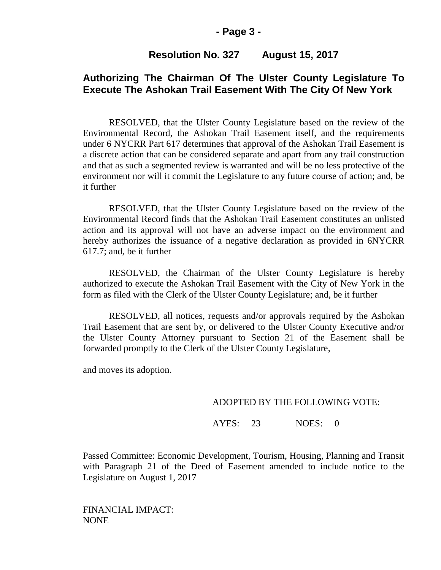## **Resolution No. 327 August 15, 2017**

# **Authorizing The Chairman Of The Ulster County Legislature To Execute The Ashokan Trail Easement With The City Of New York**

RESOLVED, that the Ulster County Legislature based on the review of the Environmental Record, the Ashokan Trail Easement itself, and the requirements under 6 NYCRR Part 617 determines that approval of the Ashokan Trail Easement is a discrete action that can be considered separate and apart from any trail construction and that as such a segmented review is warranted and will be no less protective of the environment nor will it commit the Legislature to any future course of action; and, be it further

RESOLVED, that the Ulster County Legislature based on the review of the Environmental Record finds that the Ashokan Trail Easement constitutes an unlisted action and its approval will not have an adverse impact on the environment and hereby authorizes the issuance of a negative declaration as provided in 6NYCRR 617.7; and, be it further

RESOLVED, the Chairman of the Ulster County Legislature is hereby authorized to execute the Ashokan Trail Easement with the City of New York in the form as filed with the Clerk of the Ulster County Legislature; and, be it further

RESOLVED, all notices, requests and/or approvals required by the Ashokan Trail Easement that are sent by, or delivered to the Ulster County Executive and/or the Ulster County Attorney pursuant to Section 21 of the Easement shall be forwarded promptly to the Clerk of the Ulster County Legislature,

and moves its adoption.

#### ADOPTED BY THE FOLLOWING VOTE:

AYES: 23 NOES: 0

Passed Committee: Economic Development, Tourism, Housing, Planning and Transit with Paragraph 21 of the Deed of Easement amended to include notice to the Legislature on August 1, 2017

FINANCIAL IMPACT: NONE